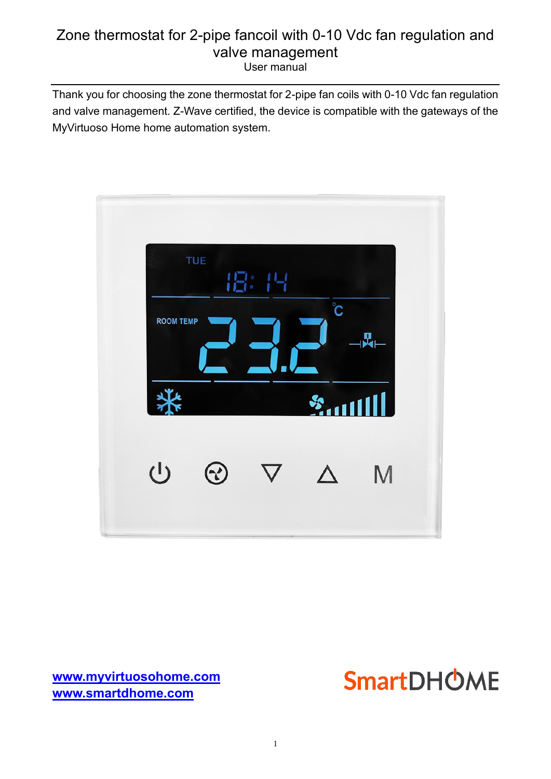Thank you for choosing the zone thermostat for 2-pipe fan coils with 0-10 Vdc fan regulation and valve management. Z-Wave certified, the device is compatible with the gateways of the MyVirtuoso Home home automation system.



**[www.myvirtuosohome.com](http://www.myvirtuosohome.com/) [www.smartdhome.com](http://www.smartdhome.com/)**

**SmartDHOME**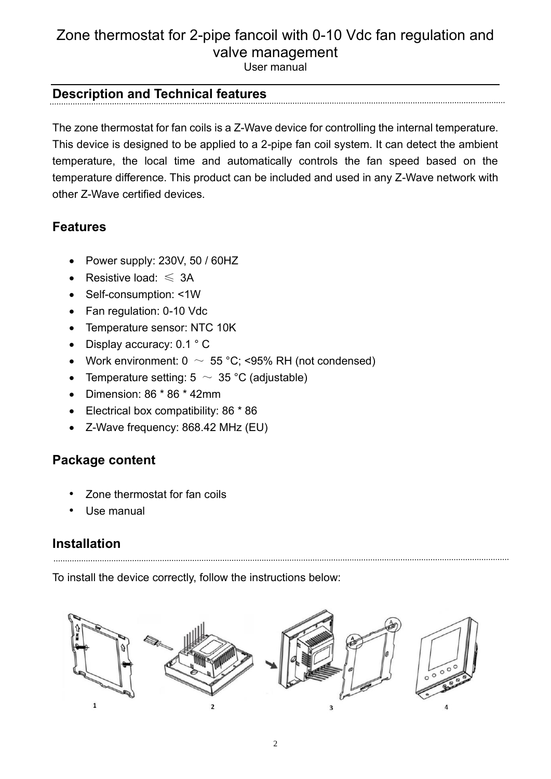User manual

#### **Description and Technical features**

The zone thermostat for fan coils is a Z-Wave device for controlling the internal temperature. This device is designed to be applied to a 2-pipe fan coil system. It can detect the ambient temperature, the local time and automatically controls the fan speed based on the temperature difference. This product can be included and used in any Z-Wave network with other Z-Wave certified devices.

#### **Features**

- Power supply: 230V, 50 / 60HZ
- Resistive load:  $\leq 3A$
- Self-consumption: <1W
- Fan regulation: 0-10 Vdc
- Temperature sensor: NTC 10K
- Display accuracy:  $0.1 \degree C$
- Work environment:  $0 \sim 55$  °C; <95% RH (not condensed)
- Temperature setting:  $5 \sim 35 \degree C$  (adjustable)
- Dimension: 86 \* 86 \* 42mm
- Electrical box compatibility: 86 \* 86
- Z-Wave frequency: 868.42 MHz (EU)

#### **Package content**

- Zone thermostat for fan coils
- Use manual

#### **Installation**

To install the device correctly, follow the instructions below:

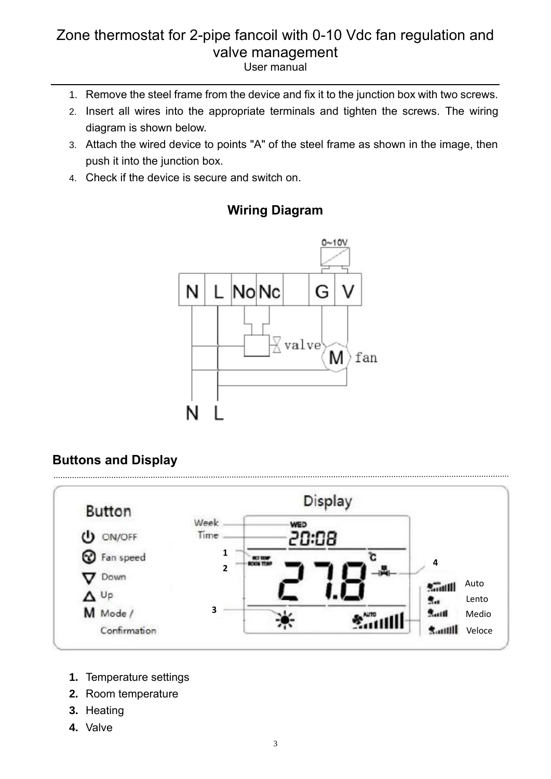User manual

- 1. Remove the steel frame from the device and fix it to the junction box with two screws.
- 2. Insert all wires into the appropriate terminals and tighten the screws. The wiring diagram is shown below.
- 3. Attach the wired device to points "A" of the steel frame as shown in the image, then push it into the junction box.
- 4. Check if the device is secure and switch on.

## **Wiring Diagram**



## **Buttons and Display**



- **1.** Temperature settings
- **2.** Room temperature
- **3.** Heating
- **4.** Valve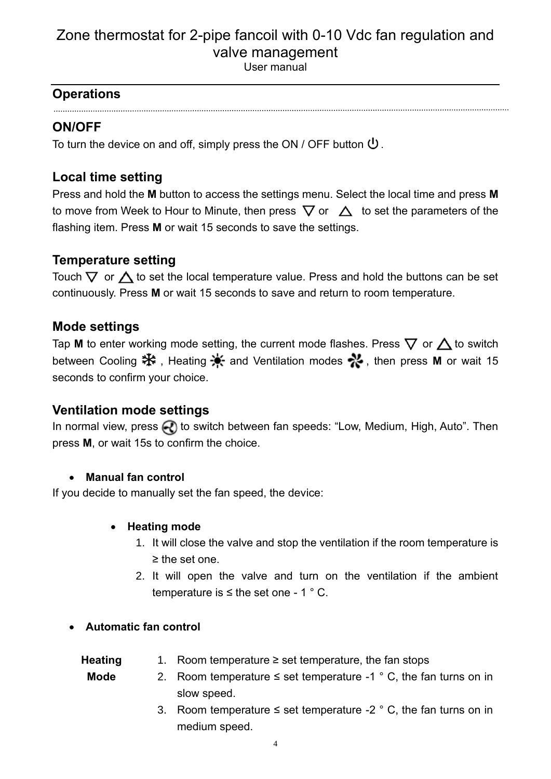User manual

**Operations**

#### **ON/OFF**

To turn the device on and off, simply press the ON / OFF button  $\mathbf \Theta$ .

#### **Local time setting**

Press and hold the **M** button to access the settings menu. Select the local time and press **M** to move from Week to Hour to Minute, then press  $\nabla$  or  $\Delta$  to set the parameters of the flashing item. Press **M** or wait 15 seconds to save the settings.

#### **Temperature setting**

Touch  $\nabla$  or  $\bigwedge$  to set the local temperature value. Press and hold the buttons can be set continuously. Press **M** or wait 15 seconds to save and return to room temperature.

#### **Mode settings**

Tap M to enter working mode setting, the current mode flashes. Press  $\nabla$  or  $\Delta$  to switch between Cooling \*: Heating \*: and Ventilation modes \*: then press **M** or wait 15 seconds to confirm your choice.

#### **Ventilation mode settings**

In normal view, press  $\bigodot$  to switch between fan speeds: "Low, Medium, High, Auto". Then press **M**, or wait 15s to confirm the choice.

#### • **Manual fan control**

If you decide to manually set the fan speed, the device:

#### • **Heating mode**

- 1. It will close the valve and stop the ventilation if the room temperature is ≥ the set one.
- 2. It will open the valve and turn on the ventilation if the ambient temperature is  $\leq$  the set one - 1  $^{\circ}$  C.
- **Automatic fan control**

**Mode**

| Heating | Room temperature $\ge$ set temperature, the fan stops |
|---------|-------------------------------------------------------|
|---------|-------------------------------------------------------|

- 2. Room temperature  $\le$  set temperature -1  $\degree$  C, the fan turns on in slow speed.
	- 3. Room temperature ≤ set temperature -2  $\degree$  C, the fan turns on in medium speed.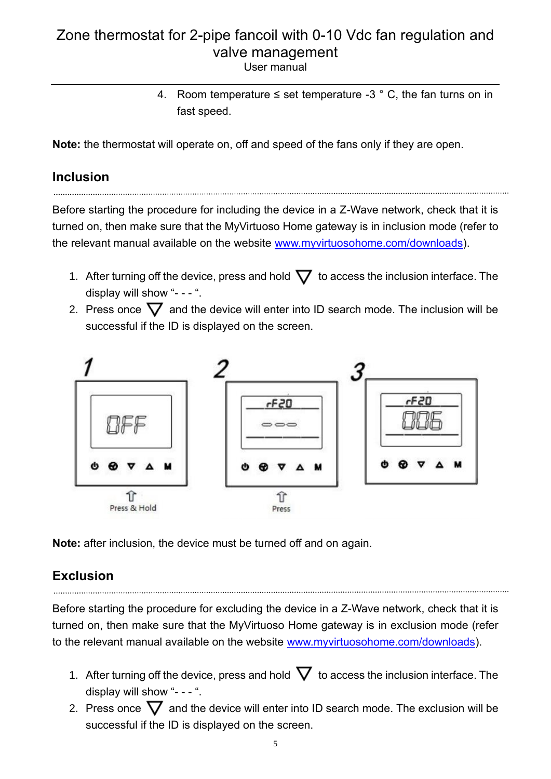User manual

4. Room temperature  $\le$  set temperature -3  $\degree$  C, the fan turns on in fast speed.

**Note:** the thermostat will operate on, off and speed of the fans only if they are open.

#### **Inclusion**

Before starting the procedure for including the device in a Z-Wave network, check that it is turned on, then make sure that the MyVirtuoso Home gateway is in inclusion mode (refer to the relevant manual available on the website [www.myvirtuosohome.com/downloads\)](http://www.myvirtuosohome.com/downloads).

- 1. After turning off the device, press and hold  $\nabla$  to access the inclusion interface. The display will show "- - - ".
- 2. Press once  $\nabla$  and the device will enter into ID search mode. The inclusion will be successful if the ID is displayed on the screen.



**Note:** after inclusion, the device must be turned off and on again.

## **Exclusion**

Before starting the procedure for excluding the device in a Z-Wave network, check that it is turned on, then make sure that the MyVirtuoso Home gateway is in exclusion mode (refer to the relevant manual available on the website [www.myvirtuosohome.com/downloads\)](http://www.myvirtuosohome.com/downloads).

- 1. After turning off the device, press and hold  $\nabla$  to access the inclusion interface. The display will show "- - - ".
- 2. Press once  $\nabla$  and the device will enter into ID search mode. The exclusion will be successful if the ID is displayed on the screen.